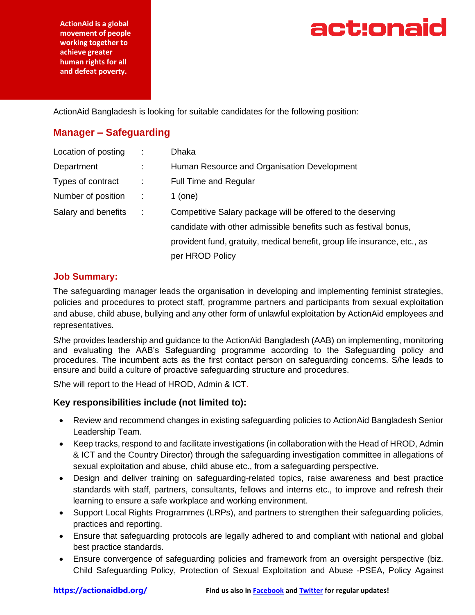**ActionAid is a global movement of people working together to achieve greater human rights for all and defeat poverty.**

## act:onaid

ActionAid Bangladesh is looking for suitable candidates for the following position:

## **Manager – Safeguarding**

| Location of posting |            | Dhaka                                                                     |
|---------------------|------------|---------------------------------------------------------------------------|
| Department          |            | Human Resource and Organisation Development                               |
| Types of contract   | ÷.         | <b>Full Time and Regular</b>                                              |
| Number of position  | $\sim 100$ | $1$ (one)                                                                 |
| Salary and benefits | $\sim 100$ | Competitive Salary package will be offered to the deserving               |
|                     |            | candidate with other admissible benefits such as festival bonus,          |
|                     |            | provident fund, gratuity, medical benefit, group life insurance, etc., as |
|                     |            | per HROD Policy                                                           |

### **Job Summary:**

The safeguarding manager leads the organisation in developing and implementing feminist strategies, policies and procedures to protect staff, programme partners and participants from sexual exploitation and abuse, child abuse, bullying and any other form of unlawful exploitation by ActionAid employees and representatives.

S/he provides leadership and guidance to the ActionAid Bangladesh (AAB) on implementing, monitoring and evaluating the AAB's Safeguarding programme according to the Safeguarding policy and procedures. The incumbent acts as the first contact person on safeguarding concerns. S/he leads to ensure and build a culture of proactive safeguarding structure and procedures.

S/he will report to the Head of HROD, Admin & ICT.

### **Key responsibilities include (not limited to):**

- Review and recommend changes in existing safeguarding policies to ActionAid Bangladesh Senior Leadership Team.
- Keep tracks, respond to and facilitate investigations (in collaboration with the Head of HROD, Admin & ICT and the Country Director) through the safeguarding investigation committee in allegations of sexual exploitation and abuse, child abuse etc., from a safeguarding perspective.
- Design and deliver training on safeguarding-related topics, raise awareness and best practice standards with staff, partners, consultants, fellows and interns etc., to improve and refresh their learning to ensure a safe workplace and working environment.
- Support Local Rights Programmes (LRPs), and partners to strengthen their safeguarding policies, practices and reporting.
- Ensure that safeguarding protocols are legally adhered to and compliant with national and global best practice standards.
- Ensure convergence of safeguarding policies and framework from an oversight perspective (biz. Child Safeguarding Policy, Protection of Sexual Exploitation and Abuse -PSEA, Policy Against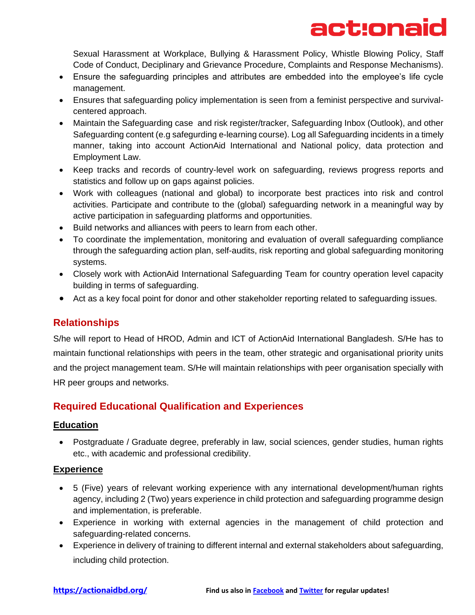# act:onaid

Sexual Harassment at Workplace, Bullying & Harassment Policy, Whistle Blowing Policy, Staff Code of Conduct, Deciplinary and Grievance Procedure, Complaints and Response Mechanisms).

- Ensure the safeguarding principles and attributes are embedded into the employee's life cycle management.
- Ensures that safeguarding policy implementation is seen from a feminist perspective and survivalcentered approach.
- Maintain the Safeguarding case and risk register/tracker, Safeguarding Inbox (Outlook), and other Safeguarding content (e.g safegurding e-learning course). Log all Safeguarding incidents in a timely manner, taking into account ActionAid International and National policy, data protection and Employment Law.
- Keep tracks and records of country-level work on safeguarding, reviews progress reports and statistics and follow up on gaps against policies.
- Work with colleagues (national and global) to incorporate best practices into risk and control activities. Participate and contribute to the (global) safeguarding network in a meaningful way by active participation in safeguarding platforms and opportunities.
- Build networks and alliances with peers to learn from each other.
- To coordinate the implementation, monitoring and evaluation of overall safeguarding compliance through the safeguarding action plan, self-audits, risk reporting and global safeguarding monitoring systems.
- Closely work with ActionAid International Safeguarding Team for country operation level capacity building in terms of safeguarding.
- Act as a key focal point for donor and other stakeholder reporting related to safeguarding issues.

## **Relationships**

S/he will report to Head of HROD, Admin and ICT of ActionAid International Bangladesh. S/He has to maintain functional relationships with peers in the team, other strategic and organisational priority units and the project management team. S/He will maintain relationships with peer organisation specially with HR peer groups and networks.

## **Required Educational Qualification and Experiences**

### **Education**

• Postgraduate / Graduate degree, preferably in law, social sciences, gender studies, human rights etc., with academic and professional credibility.

## **Experience**

- 5 (Five) years of relevant working experience with any international development/human rights agency, including 2 (Two) years experience in child protection and safeguarding programme design and implementation, is preferable.
- Experience in working with external agencies in the management of child protection and safeguarding-related concerns.
- Experience in delivery of training to different internal and external stakeholders about safeguarding, including child protection.